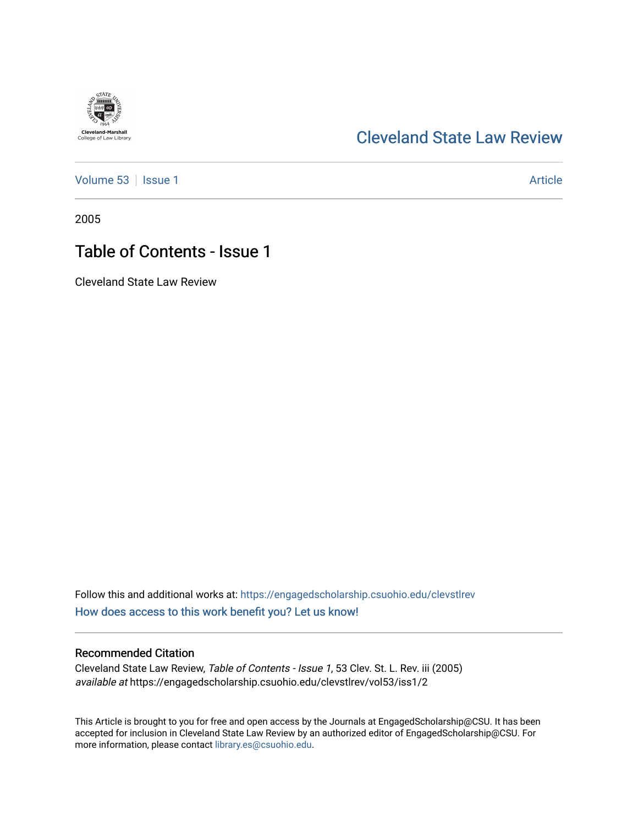### [Cleveland State Law Review](https://engagedscholarship.csuohio.edu/clevstlrev)

[Volume 53](https://engagedscholarship.csuohio.edu/clevstlrev/vol53) | [Issue 1](https://engagedscholarship.csuohio.edu/clevstlrev/vol53/iss1) Article

2005

## Table of Contents - Issue 1

Cleveland State Law Review

Follow this and additional works at: [https://engagedscholarship.csuohio.edu/clevstlrev](https://engagedscholarship.csuohio.edu/clevstlrev?utm_source=engagedscholarship.csuohio.edu%2Fclevstlrev%2Fvol53%2Fiss1%2F2&utm_medium=PDF&utm_campaign=PDFCoverPages) [How does access to this work benefit you? Let us know!](http://library.csuohio.edu/engaged/)

#### Recommended Citation

Cleveland State Law Review, Table of Contents - Issue 1, 53 Clev. St. L. Rev. iii (2005) available at https://engagedscholarship.csuohio.edu/clevstlrev/vol53/iss1/2

This Article is brought to you for free and open access by the Journals at EngagedScholarship@CSU. It has been accepted for inclusion in Cleveland State Law Review by an authorized editor of EngagedScholarship@CSU. For more information, please contact [library.es@csuohio.edu](mailto:library.es@csuohio.edu).